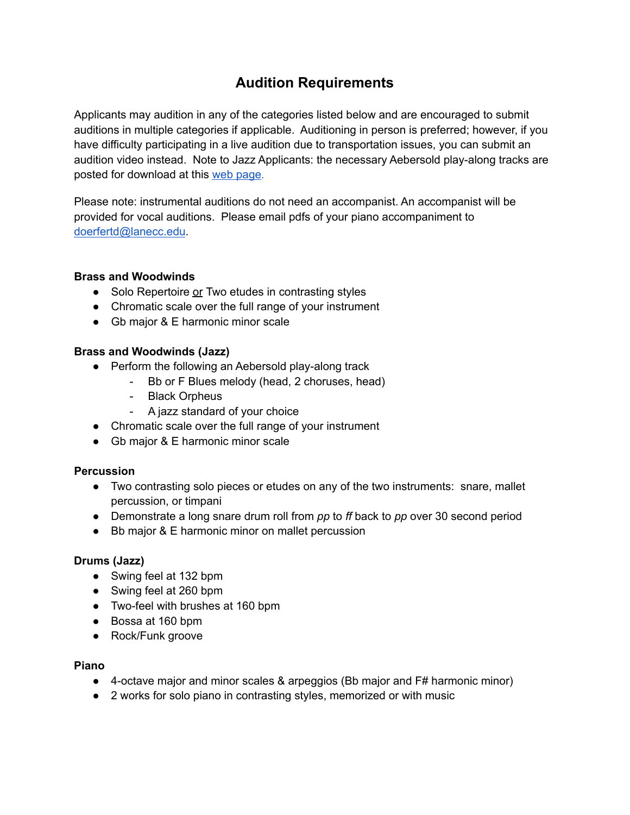# **Audition Requirements**

 Applicants may audition in any of the categories listed below and are encouraged to submit auditions in multiple categories if applicable. Auditioning in person is preferred; however, if you have difficulty participating in a live audition due to transportation issues, you can submit an audition video instead. Note to Jazz Applicants: the necessary Aebersold play-along tracks are posted for download at this web [page](https://www.lanecc.edu/programs-academics/areas-study/arts-and-communications/music/music-scholarships).

 Please note: instrumental auditions do not need an accompanist. An accompanist will be provided for vocal auditions. Please email pdfs of your piano accompaniment to [doerfertd@lanecc.edu](mailto:doerfertd@lanecc.edu).

# **Brass and Woodwinds**

- Solo Repertoire or Two etudes in contrasting styles
- Chromatic scale over the full range of your instrument
- Gb major & E harmonic minor scale

# **Brass and Woodwinds (Jazz)**

- ● Perform the following an Aebersold play-along track
	- Bb or F Blues melody (head, 2 choruses, head)
	- Black Orpheus
	- A jazz standard of your choice
- Chromatic scale over the full range of your instrument
- Gb major & E harmonic minor scale

# **Percussion**

- ● Two contrasting solo pieces or etudes on any of the two instruments: snare, mallet percussion, or timpani
- Demonstrate a long snare drum roll from *pp* to *ff* back to *pp* over 30 second period
- Bb major & E harmonic minor on mallet percussion

## **Drums (Jazz)**

- Swing feel at 132 bpm
- Swing feel at 260 bpm
- Two-feel with brushes at 160 bpm
- Bossa at 160 bpm
- Rock/Funk groove

## **Piano**

- 4-octave major and minor scales & arpeggios (Bb major and F# harmonic minor)
- 2 works for solo piano in contrasting styles, memorized or with music